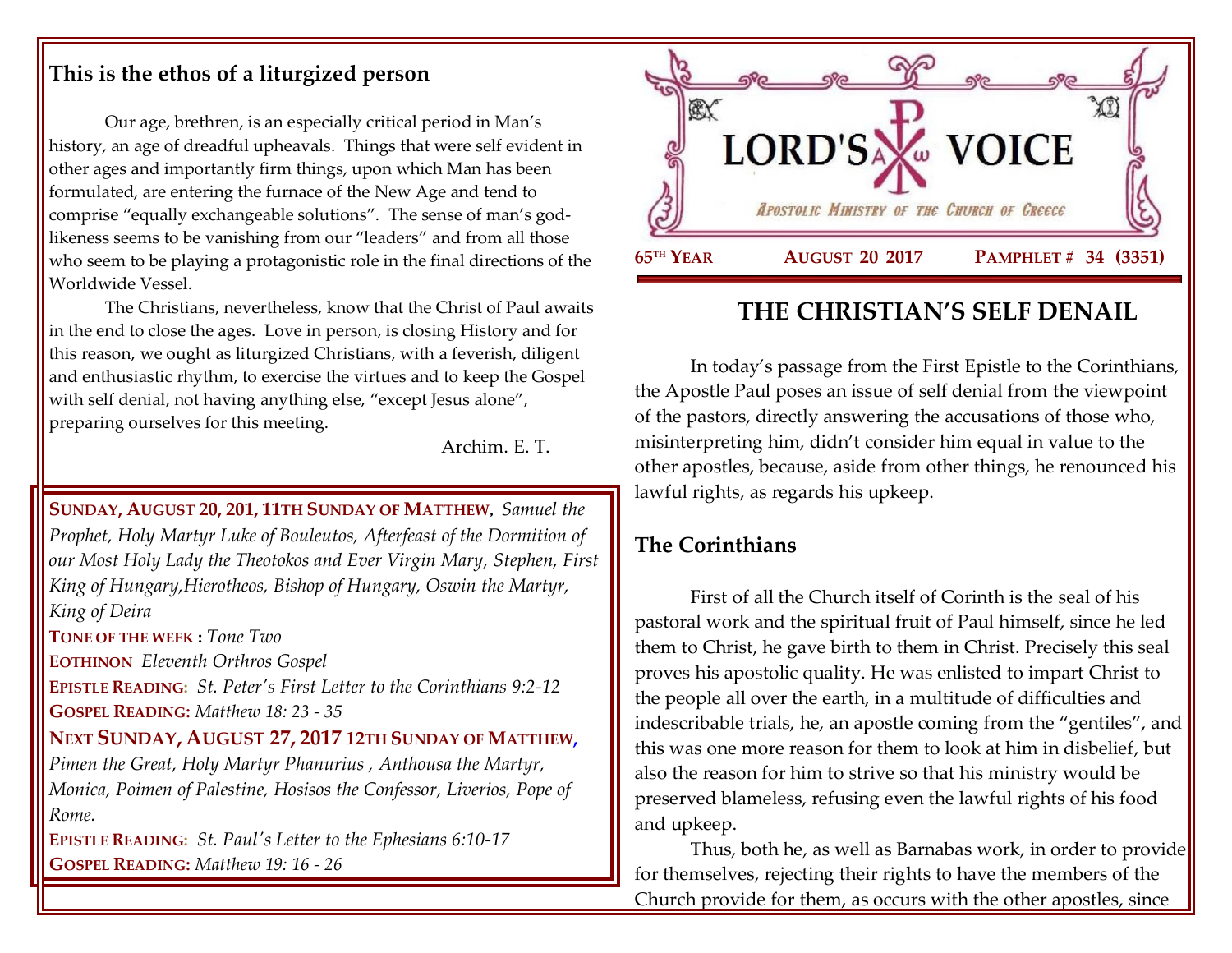### **This is the ethos of a liturgized person**

Our age, brethren, is an especially critical period in Man's history, an age of dreadful upheavals. Things that were self evident in other ages and importantly firm things, upon which Man has been formulated, are entering the furnace of the New Age and tend to comprise "equally exchangeable solutions". The sense of man's godlikeness seems to be vanishing from our "leaders" and from all those who seem to be playing a protagonistic role in the final directions of the Worldwide Vessel.

The Christians, nevertheless, know that the Christ of Paul awaits in the end to close the ages. Love in person, is closing History and for this reason, we ought as liturgized Christians, with a feverish, diligent and enthusiastic rhythm, to exercise the virtues and to keep the Gospel with self denial, not having anything else, "except Jesus alone", preparing ourselves for this meeting.

Archim. E. T.

**SUNDAY, AUGUST 20, 201, 11TH SUNDAY OF MATTHEW**, *[Samuel the](https://www.goarch.org/chapel/saints?contentid=171)  [Prophet,](https://www.goarch.org/chapel/saints?contentid=171) Holy Martyr Luke of Bouleutos, [Afterfeast of the Dormition of](https://www.goarch.org/chapel/saints?contentid=2422)  [our Most Holy Lady the Theotokos and Ever Virgin Mary,](https://www.goarch.org/chapel/saints?contentid=2422) Stephen, First King of Hungary,Hierotheos, Bishop of Hungary, Oswin the Martyr, King of Deira*  **TONE OF THE WEEK :** *Tone Two* **EOTHINON** *Eleventh Orthros Gospel* **EPISTLE READING:** *[St. Peter's First Letter to the Corinthians 9:2-12](https://www.goarch.org/chapel/lectionary?type=epistle&code=27&event=940&date=5/28/2017)* **GOSPEL READING:** *[Matthew 18:](https://www.goarch.org/chapel/lectionary?type=gospel&code=43&event=940&date=5/28/2017) 23 - 35* **NEXT SUNDAY, AUGUST 27, 2017 12TH SUNDAY OF MATTHEW,**  *Pimen the Great, Holy Martyr Phanurius , Anthousa the Martyr, Monica, Poimen of Palestine, Hosisos the Confessor, Liverios, Pope of Rome.* **EPISTLE READING:** *[St. Paul's Letter to the Ephesians 6:10-17](https://www.goarch.org/chapel/lectionary?type=epistle&code=27&event=940&date=5/28/2017)* **GOSPEL READING:** *[Matthew 19:](https://www.goarch.org/chapel/lectionary?type=gospel&code=43&event=940&date=5/28/2017) 16 - 26*



# **THE CHRISTIAN'S SELF DENAIL**

In today's passage from the First Epistle to the Corinthians, the Apostle Paul poses an issue of self denial from the viewpoint of the pastors, directly answering the accusations of those who, misinterpreting him, didn't consider him equal in value to the other apostles, because, aside from other things, he renounced his lawful rights, as regards his upkeep.

## **The Corinthians**

First of all the Church itself of Corinth is the seal of his pastoral work and the spiritual fruit of Paul himself, since he led them to Christ, he gave birth to them in Christ. Precisely this seal proves his apostolic quality. He was enlisted to impart Christ to the people all over the earth, in a multitude of difficulties and indescribable trials, he, an apostle coming from the "gentiles", and this was one more reason for them to look at him in disbelief, but also the reason for him to strive so that his ministry would be preserved blameless, refusing even the lawful rights of his food and upkeep.

Thus, both he, as well as Barnabas work, in order to provide for themselves, rejecting their rights to have the members of the Church provide for them, as occurs with the other apostles, since